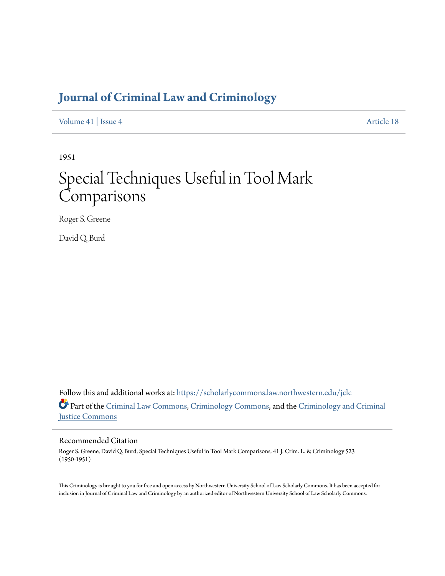# **[Journal of Criminal Law and Criminology](https://scholarlycommons.law.northwestern.edu/jclc?utm_source=scholarlycommons.law.northwestern.edu%2Fjclc%2Fvol41%2Fiss4%2F18&utm_medium=PDF&utm_campaign=PDFCoverPages)**

[Volume 41](https://scholarlycommons.law.northwestern.edu/jclc/vol41?utm_source=scholarlycommons.law.northwestern.edu%2Fjclc%2Fvol41%2Fiss4%2F18&utm_medium=PDF&utm_campaign=PDFCoverPages) | [Issue 4](https://scholarlycommons.law.northwestern.edu/jclc/vol41/iss4?utm_source=scholarlycommons.law.northwestern.edu%2Fjclc%2Fvol41%2Fiss4%2F18&utm_medium=PDF&utm_campaign=PDFCoverPages) [Article 18](https://scholarlycommons.law.northwestern.edu/jclc/vol41/iss4/18?utm_source=scholarlycommons.law.northwestern.edu%2Fjclc%2Fvol41%2Fiss4%2F18&utm_medium=PDF&utm_campaign=PDFCoverPages)

1951

# Special Techniques Useful in Tool Mark **Comparisons**

Roger S. Greene

David Q. Burd

Follow this and additional works at: [https://scholarlycommons.law.northwestern.edu/jclc](https://scholarlycommons.law.northwestern.edu/jclc?utm_source=scholarlycommons.law.northwestern.edu%2Fjclc%2Fvol41%2Fiss4%2F18&utm_medium=PDF&utm_campaign=PDFCoverPages) Part of the [Criminal Law Commons](http://network.bepress.com/hgg/discipline/912?utm_source=scholarlycommons.law.northwestern.edu%2Fjclc%2Fvol41%2Fiss4%2F18&utm_medium=PDF&utm_campaign=PDFCoverPages), [Criminology Commons](http://network.bepress.com/hgg/discipline/417?utm_source=scholarlycommons.law.northwestern.edu%2Fjclc%2Fvol41%2Fiss4%2F18&utm_medium=PDF&utm_campaign=PDFCoverPages), and the [Criminology and Criminal](http://network.bepress.com/hgg/discipline/367?utm_source=scholarlycommons.law.northwestern.edu%2Fjclc%2Fvol41%2Fiss4%2F18&utm_medium=PDF&utm_campaign=PDFCoverPages) [Justice Commons](http://network.bepress.com/hgg/discipline/367?utm_source=scholarlycommons.law.northwestern.edu%2Fjclc%2Fvol41%2Fiss4%2F18&utm_medium=PDF&utm_campaign=PDFCoverPages)

# Recommended Citation

Roger S. Greene, David Q. Burd, Special Techniques Useful in Tool Mark Comparisons, 41 J. Crim. L. & Criminology 523 (1950-1951)

This Criminology is brought to you for free and open access by Northwestern University School of Law Scholarly Commons. It has been accepted for inclusion in Journal of Criminal Law and Criminology by an authorized editor of Northwestern University School of Law Scholarly Commons.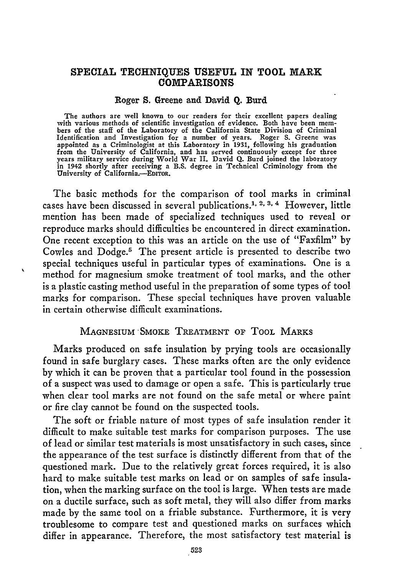# **SPECIAL TECHNIQUES USEFUL IN TOOL MARK COMPARISONS**

#### Roger **S.** Greene and David **Q. Burd**

The authors are well known to our readers for their excellent papers dealing with various methods of scientific investigation of evidence. Both have been mem- bers of the staff of the Laboratory of the California State Division of Criminal Identification and Investigation for a number of years. Roger **S.** Greene was appointed as a Criminologist at this Laboratory in **1931,** following his graduation from the University of California, and has served continuously except for three years military service during World War II. David **Q.** Burd joined the laboratory in 1942 shortly after receiving a B.S. degree in Technical Criminology from the University of California.-EDITOR.

The basic methods for the comparison of tool marks in criminal cases have been discussed in several publications.". **2.3,** 4 However, little mention has been made of specialized techniques used to reveal or reproduce marks should difficulties be encountered in direct examination. One recent exception to this was an article on the use of "Faxfilm" **by** Cowles and Dodge.5 The present article is presented to describe two special techniques useful in particular types of examinations. One is a method for magnesium smoke treatment of tool marks, and the other is a plastic casting method useful in the preparation of some types of tool marks for comparison. These special techniques have proven valuable in certain otherwise difficult examinations.

### MAGNESIUM -SMOKE TREATMENT **OF** ToOL MARKS

Marks produced on safe insulation by prying tools are occasionally found in safe burglary cases. These marks often are the only evidence by which it can be proven that a particular tool found in the possession of a suspect was used to damage or open a safe. This is particularly true when clear tool marks are not found on the safe metal or where paint or fire clay cannot be found on the suspected tools.

The soft or friable nature of most types of safe insulation render it difficult to make suitable test marks for comparison purposes. The use of lead or similar test materials is most unsatisfactory in such cases, since the appearance of the test surface is distinctly different from that of the questioned mark. Due to the relatively great forces required, it is also hard to make suitable test marks on lead or on samples of safe insulation, when the marking surface on the tool is large. When tests are made on a ductile surface, such as soft metal, they will also differ from marks made by the same tool on a friable substance. Furthermore, it is very troublesome to compare test and questioned marks on surfaces which differ in appearance. Therefore, the most satisfactory test material is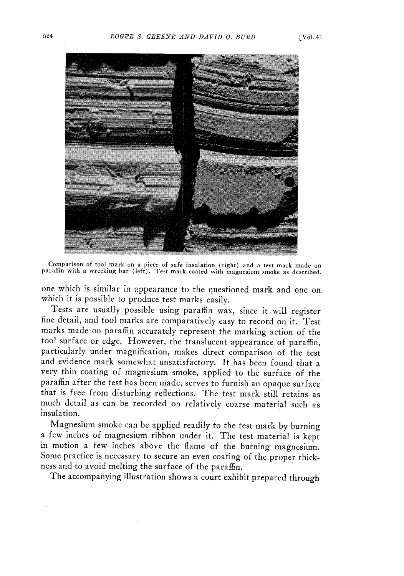

Comparison of tool mark on a piece of safe insulation (right) and a test mark made on paraffin with a wrecking bar (left). Test mark coated with magnesium smoke as described.

one which is similar in appearance to the questioned mark and one on which it is possible to produce test marks easily.

Tests are usually possible using paraffin wax, since it will register fine detail, and tool marks are comparatively easy to record on it. Test marks made on paraffin accurately represent the marking action of the tool surface or edge. However, the translucent appearance of paraffin, particularly under magnification, makes direct comparison of the test and evidence mark somewhat unsatisfactory. It has been found that a very thin coating of magnesium smoke, applied to the surface of the paraffin after the test has been made, serves to furnish an opaque surface that is free from disturbing reflections. The test mark still retains as much detail as can be recorded on relatively coarse material such as insulation.

Magnesium smoke can be applied readily to the test mark by burning a few inches of magnesium ribbon under it. The test material is kept in motion a few inches above the flame of the burning magnesium. Some practice is necessary to secure an even coating of the proper thickness and to avoid melting the surface of the paraffin.

The accompanying illustration shows a court exhibit prepared through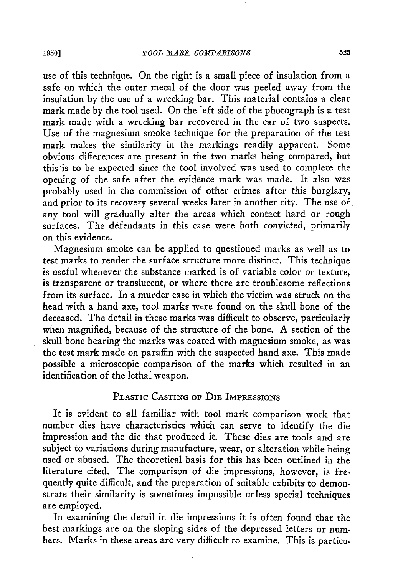use of this technique. On the right is a small piece of insulation from a safe on which the outer metal of the door was peeled away from the insulation by the use of a wrecking bar. This material contains a clear mark made by the tool used. On the left side of the photograph is a test mark made with a wrecking bar recovered in the car of two suspects. Use of the magnesium smoke technique for the preparation of the test mark makes the similarity in the markings readily apparent. Some obvious differences are present in the two marks being compared, but this is to be expected since the tool involved was used to complete the opening of the safe after the evidence mark was made. It also was probably used in the commission of other crimes after this burglary, and prior to its recovery several weeks later in another city. The use of. any tool will gradually alter the areas which contact hard or rough surfaces. The defendants in this case were both convicted, primarily on this evidence.

Magnesium smoke can be applied to questioned marks as well as to test marks to render the surface structure more distinct. This technique is useful whenever the substance marked is of variable color or texture, is transparent or translucent, or where there are troublesome reflections from its surface. In a murder case in which the victim was struck on the head with a hand axe, tool marks were found on the skull bone of the deceased. The detail in these marks was difficult to observe, particularly when magnified, because of the structure of the bone. A section of the skull bone bearing the marks was coated with magnesium smoke, as was the test mark made on paraffin with the suspected hand axe. This made possible a microscopic comparison of the marks which resulted in an identification of the lethal weapon.

# PLASTIC CASTING OF DIE IMPRESSIONS

It is evident to all familiar with tool mark comparison work that number dies have characteristics which can serve to identify the die impression and the die that produced it. These dies are tools and are subject to variations during manufacture, wear, or alteration while being used or abused. The theoretical basis for this has been outlined in the literature cited. The comparison of die impressions, however, is frequently quite difficult, and the preparation of suitable exhibits to demonstrate their similarity is sometimes impossible unless special techniques are employed.

In examining the detail in die impressions it is often found that the best markings are on the sloping sides of the depressed letters or numbers. Marks in these areas are very difficult to examine. This is particu-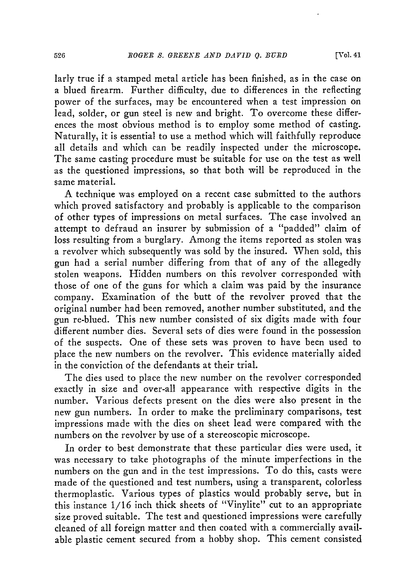larly true if a stamped metal article has been finished, as in the case on a blued firearm. Further difficulty, due to differences in the reflecting power of the surfaces, may be encountered when a test impression on lead, solder, or gun steel is new and bright. To overcome these differences the most obvious method is to employ some method of casting. Naturally, it is essential to use a method which will faithfully reproduce all details and which can be readily inspected under the microscope. The same casting procedure must be suitable for use on the test as well as the questioned impressions, so that both will be reproduced in the same material.

A technique was employed on a recent case submitted to the authors which proved satisfactory and probably is applicable to the comparison of other types of impressions on metal surfaces. The case involved an attempt to defraud an insurer by submission of a "padded" claim of loss resulting from a burglary. Among the items reported as stolen was a revolver which subsequently was sold by the insured. When sold, this gun had a serial number differing from that of any of the allegedly stolen weapons. Hidden numbers on this revolver corresponded with those of one of the guns for which a claim was paid by the insurance company. Examination of the butt of the revolver proved that the original number had been removed, another number substituted, and the gun re-blued. This new number consisted of six digits made with four different number dies. Several sets of dies were found in the possession of the suspects. One of these sets was proven to have been used to place the new numbers on the revolver. This evidence materially aided in the conviction of the defendants at their trial.

The dies used to place the new number on the revolver corresponded exactly in size and over-all appearance with respective digits in the number. Various defects present on the dies were also present in the new gun numbers. In order to make the preliminary comparisons, test impressions made with the dies on sheet lead were compared with the numbers on the revolver by use of a stereoscopic microscope.

In order to best demonstrate that these particular dies were used, it was necessary to take photographs of the minute imperfections in the numbers on the gun and in the test impressions. To do this, casts were made of the questioned and test numbers, using a transparent, colorless thermoplastic. Various types of plastics would probably serve, but in this instance 1/16 inch thick sheets of "Vinylite" cut to an appropriate size proved suitable. The test and questioned impressions were carefully cleaned of all foreign matter and then coated with a commercially available plastic cement secured from a hobby shop. This cement consisted